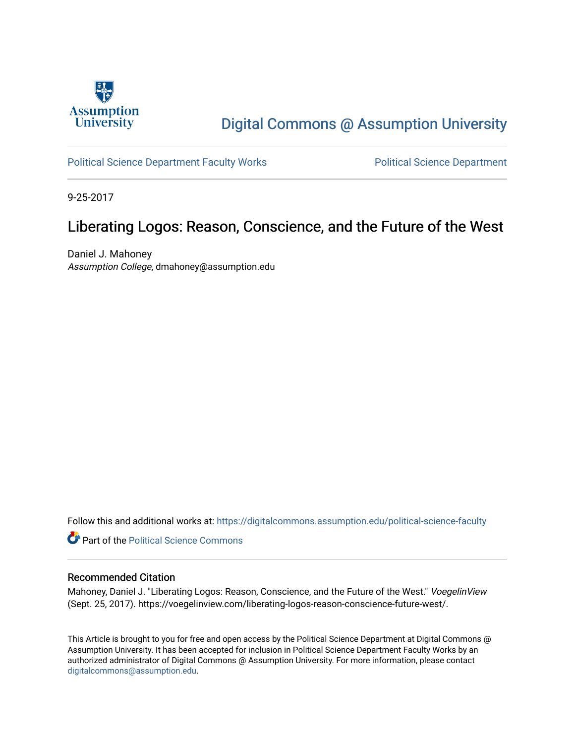

## [Digital Commons @ Assumption University](https://digitalcommons.assumption.edu/)

#### [Political Science Department Faculty Works](https://digitalcommons.assumption.edu/political-science-faculty) **Political Science Department**

9-25-2017

### Liberating Logos: Reason, Conscience, and the Future of the West

Daniel J. Mahoney Assumption College, dmahoney@assumption.edu

Follow this and additional works at: [https://digitalcommons.assumption.edu/political-science-faculty](https://digitalcommons.assumption.edu/political-science-faculty?utm_source=digitalcommons.assumption.edu%2Fpolitical-science-faculty%2F28&utm_medium=PDF&utm_campaign=PDFCoverPages)

**Part of the Political Science Commons** 

#### Recommended Citation

Mahoney, Daniel J. "Liberating Logos: Reason, Conscience, and the Future of the West." VoegelinView (Sept. 25, 2017). https://voegelinview.com/liberating-logos-reason-conscience-future-west/.

This Article is brought to you for free and open access by the Political Science Department at Digital Commons @ Assumption University. It has been accepted for inclusion in Political Science Department Faculty Works by an authorized administrator of Digital Commons @ Assumption University. For more information, please contact [digitalcommons@assumption.edu](mailto:digitalcommons@assumption.edu).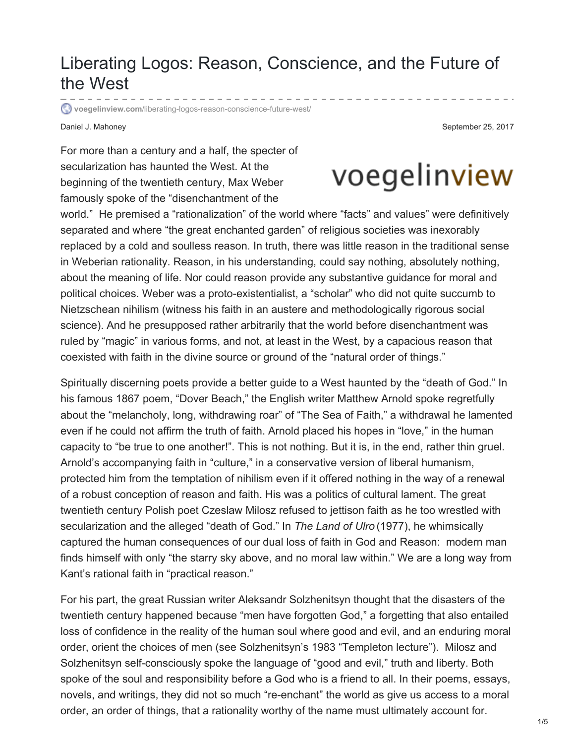## Liberating Logos: Reason, Conscience, and the Future of the West

**voegelinview.com**[/liberating-logos-reason-conscience-future-west/](https://voegelinview.com/liberating-logos-reason-conscience-future-west/)

Daniel J. Mahoney September 25, 2017

For more than a century and a half, the specter of secularization has haunted the West. At the beginning of the twentieth century, Max Weber famously spoke of the "disenchantment of the

# voegelinview

world." He premised a "rationalization" of the world where "facts" and values" were definitively separated and where "the great enchanted garden" of religious societies was inexorably replaced by a cold and soulless reason. In truth, there was little reason in the traditional sense in Weberian rationality. Reason, in his understanding, could say nothing, absolutely nothing, about the meaning of life. Nor could reason provide any substantive guidance for moral and political choices. Weber was a proto-existentialist, a "scholar" who did not quite succumb to Nietzschean nihilism (witness his faith in an austere and methodologically rigorous social science). And he presupposed rather arbitrarily that the world before disenchantment was ruled by "magic" in various forms, and not, at least in the West, by a capacious reason that coexisted with faith in the divine source or ground of the "natural order of things."

Spiritually discerning poets provide a better guide to a West haunted by the "death of God." In his famous 1867 poem, "Dover Beach," the English writer Matthew Arnold spoke regretfully about the "melancholy, long, withdrawing roar" of "The Sea of Faith," a withdrawal he lamented even if he could not affirm the truth of faith. Arnold placed his hopes in "love," in the human capacity to "be true to one another!". This is not nothing. But it is, in the end, rather thin gruel. Arnold's accompanying faith in "culture," in a conservative version of liberal humanism, protected him from the temptation of nihilism even if it offered nothing in the way of a renewal of a robust conception of reason and faith. His was a politics of cultural lament. The great twentieth century Polish poet Czeslaw Milosz refused to jettison faith as he too wrestled with secularization and the alleged "death of God." In *The Land of Ulro* (1977), he whimsically captured the human consequences of our dual loss of faith in God and Reason: modern man finds himself with only "the starry sky above, and no moral law within." We are a long way from Kant's rational faith in "practical reason."

For his part, the great Russian writer Aleksandr Solzhenitsyn thought that the disasters of the twentieth century happened because "men have forgotten God," a forgetting that also entailed loss of confidence in the reality of the human soul where good and evil, and an enduring moral order, orient the choices of men (see Solzhenitsyn's 1983 "Templeton lecture"). Milosz and Solzhenitsyn self-consciously spoke the language of "good and evil," truth and liberty. Both spoke of the soul and responsibility before a God who is a friend to all. In their poems, essays, novels, and writings, they did not so much "re-enchant" the world as give us access to a moral order, an order of things, that a rationality worthy of the name must ultimately account for.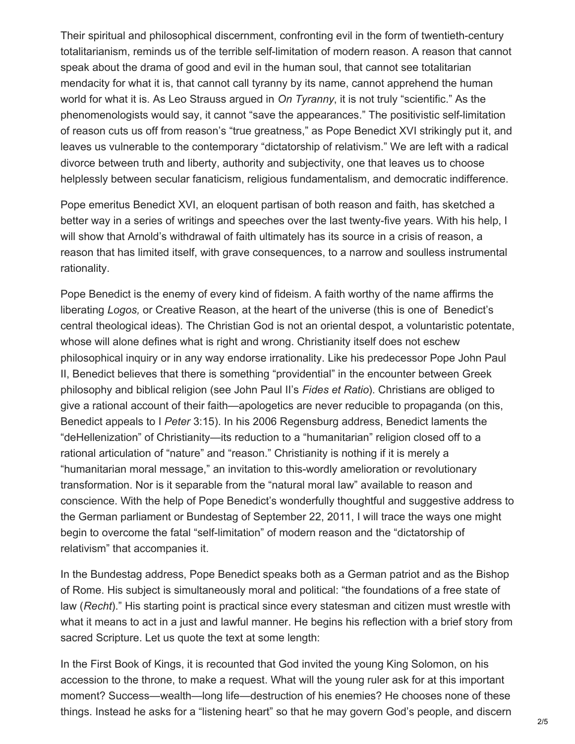Their spiritual and philosophical discernment, confronting evil in the form of twentieth-century totalitarianism, reminds us of the terrible self-limitation of modern reason. A reason that cannot speak about the drama of good and evil in the human soul, that cannot see totalitarian mendacity for what it is, that cannot call tyranny by its name, cannot apprehend the human world for what it is. As Leo Strauss argued in *On Tyranny*, it is not truly "scientific." As the phenomenologists would say, it cannot "save the appearances." The positivistic self-limitation of reason cuts us off from reason's "true greatness," as Pope Benedict XVI strikingly put it, and leaves us vulnerable to the contemporary "dictatorship of relativism." We are left with a radical divorce between truth and liberty, authority and subjectivity, one that leaves us to choose helplessly between secular fanaticism, religious fundamentalism, and democratic indifference.

Pope emeritus Benedict XVI, an eloquent partisan of both reason and faith, has sketched a better way in a series of writings and speeches over the last twenty-five years. With his help, I will show that Arnold's withdrawal of faith ultimately has its source in a crisis of reason, a reason that has limited itself, with grave consequences, to a narrow and soulless instrumental rationality.

Pope Benedict is the enemy of every kind of fideism. A faith worthy of the name affirms the liberating *Logos,* or Creative Reason, at the heart of the universe (this is one of Benedict's central theological ideas). The Christian God is not an oriental despot, a voluntaristic potentate, whose will alone defines what is right and wrong. Christianity itself does not eschew philosophical inquiry or in any way endorse irrationality. Like his predecessor Pope John Paul II, Benedict believes that there is something "providential" in the encounter between Greek philosophy and biblical religion (see John Paul II's *Fides et Ratio*). Christians are obliged to give a rational account of their faith—apologetics are never reducible to propaganda (on this, Benedict appeals to I *Peter* 3:15). In his 2006 Regensburg address, Benedict laments the "deHellenization" of Christianity—its reduction to a "humanitarian" religion closed off to a rational articulation of "nature" and "reason." Christianity is nothing if it is merely a "humanitarian moral message," an invitation to this-wordly amelioration or revolutionary transformation. Nor is it separable from the "natural moral law" available to reason and conscience. With the help of Pope Benedict's wonderfully thoughtful and suggestive address to the German parliament or Bundestag of September 22, 2011, I will trace the ways one might begin to overcome the fatal "self-limitation" of modern reason and the "dictatorship of relativism" that accompanies it.

In the Bundestag address, Pope Benedict speaks both as a German patriot and as the Bishop of Rome. His subject is simultaneously moral and political: "the foundations of a free state of law (*Recht*)." His starting point is practical since every statesman and citizen must wrestle with what it means to act in a just and lawful manner. He begins his reflection with a brief story from sacred Scripture. Let us quote the text at some length:

In the First Book of Kings, it is recounted that God invited the young King Solomon, on his accession to the throne, to make a request. What will the young ruler ask for at this important moment? Success—wealth—long life—destruction of his enemies? He chooses none of these things. Instead he asks for a "listening heart" so that he may govern God's people, and discern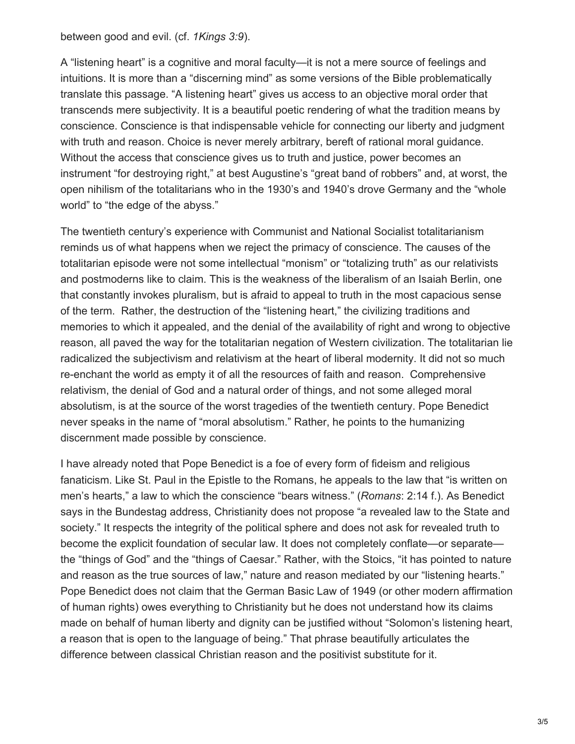between good and evil. (cf. *1Kings 3:9*).

A "listening heart" is a cognitive and moral faculty—it is not a mere source of feelings and intuitions. It is more than a "discerning mind" as some versions of the Bible problematically translate this passage. "A listening heart" gives us access to an objective moral order that transcends mere subjectivity. It is a beautiful poetic rendering of what the tradition means by conscience. Conscience is that indispensable vehicle for connecting our liberty and judgment with truth and reason. Choice is never merely arbitrary, bereft of rational moral guidance. Without the access that conscience gives us to truth and justice, power becomes an instrument "for destroying right," at best Augustine's "great band of robbers" and, at worst, the open nihilism of the totalitarians who in the 1930's and 1940's drove Germany and the "whole world" to "the edge of the abyss."

The twentieth century's experience with Communist and National Socialist totalitarianism reminds us of what happens when we reject the primacy of conscience. The causes of the totalitarian episode were not some intellectual "monism" or "totalizing truth" as our relativists and postmoderns like to claim. This is the weakness of the liberalism of an Isaiah Berlin, one that constantly invokes pluralism, but is afraid to appeal to truth in the most capacious sense of the term. Rather, the destruction of the "listening heart," the civilizing traditions and memories to which it appealed, and the denial of the availability of right and wrong to objective reason, all paved the way for the totalitarian negation of Western civilization. The totalitarian lie radicalized the subjectivism and relativism at the heart of liberal modernity. It did not so much re-enchant the world as empty it of all the resources of faith and reason. Comprehensive relativism, the denial of God and a natural order of things, and not some alleged moral absolutism, is at the source of the worst tragedies of the twentieth century. Pope Benedict never speaks in the name of "moral absolutism." Rather, he points to the humanizing discernment made possible by conscience.

I have already noted that Pope Benedict is a foe of every form of fideism and religious fanaticism. Like St. Paul in the Epistle to the Romans, he appeals to the law that "is written on men's hearts," a law to which the conscience "bears witness." (*Romans*: 2:14 f.). As Benedict says in the Bundestag address, Christianity does not propose "a revealed law to the State and society." It respects the integrity of the political sphere and does not ask for revealed truth to become the explicit foundation of secular law. It does not completely conflate—or separate the "things of God" and the "things of Caesar." Rather, with the Stoics, "it has pointed to nature and reason as the true sources of law," nature and reason mediated by our "listening hearts." Pope Benedict does not claim that the German Basic Law of 1949 (or other modern affirmation of human rights) owes everything to Christianity but he does not understand how its claims made on behalf of human liberty and dignity can be justified without "Solomon's listening heart, a reason that is open to the language of being." That phrase beautifully articulates the difference between classical Christian reason and the positivist substitute for it.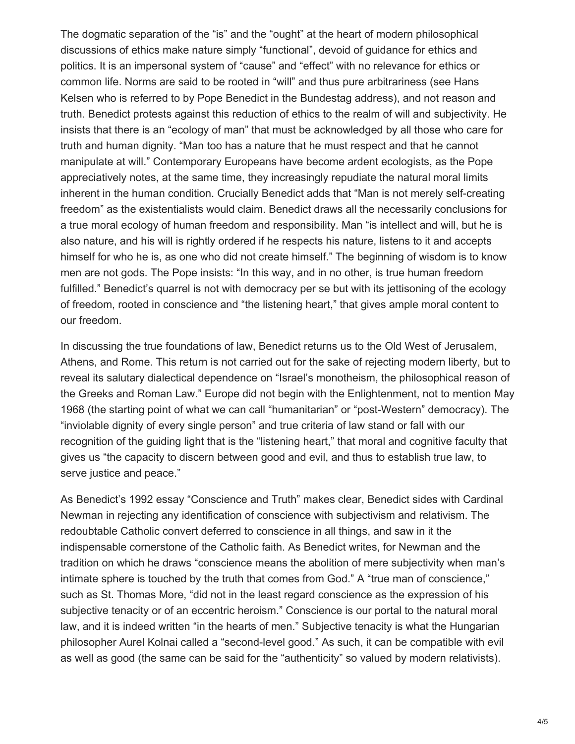The dogmatic separation of the "is" and the "ought" at the heart of modern philosophical discussions of ethics make nature simply "functional", devoid of guidance for ethics and politics. It is an impersonal system of "cause" and "effect" with no relevance for ethics or common life. Norms are said to be rooted in "will" and thus pure arbitrariness (see Hans Kelsen who is referred to by Pope Benedict in the Bundestag address), and not reason and truth. Benedict protests against this reduction of ethics to the realm of will and subjectivity. He insists that there is an "ecology of man" that must be acknowledged by all those who care for truth and human dignity. "Man too has a nature that he must respect and that he cannot manipulate at will." Contemporary Europeans have become ardent ecologists, as the Pope appreciatively notes, at the same time, they increasingly repudiate the natural moral limits inherent in the human condition. Crucially Benedict adds that "Man is not merely self-creating freedom" as the existentialists would claim. Benedict draws all the necessarily conclusions for a true moral ecology of human freedom and responsibility. Man "is intellect and will, but he is also nature, and his will is rightly ordered if he respects his nature, listens to it and accepts himself for who he is, as one who did not create himself." The beginning of wisdom is to know men are not gods. The Pope insists: "In this way, and in no other, is true human freedom fulfilled." Benedict's quarrel is not with democracy per se but with its jettisoning of the ecology of freedom, rooted in conscience and "the listening heart," that gives ample moral content to our freedom.

In discussing the true foundations of law, Benedict returns us to the Old West of Jerusalem, Athens, and Rome. This return is not carried out for the sake of rejecting modern liberty, but to reveal its salutary dialectical dependence on "Israel's monotheism, the philosophical reason of the Greeks and Roman Law." Europe did not begin with the Enlightenment, not to mention May 1968 (the starting point of what we can call "humanitarian" or "post-Western" democracy). The "inviolable dignity of every single person" and true criteria of law stand or fall with our recognition of the guiding light that is the "listening heart," that moral and cognitive faculty that gives us "the capacity to discern between good and evil, and thus to establish true law, to serve justice and peace."

As Benedict's 1992 essay "Conscience and Truth" makes clear, Benedict sides with Cardinal Newman in rejecting any identification of conscience with subjectivism and relativism. The redoubtable Catholic convert deferred to conscience in all things, and saw in it the indispensable cornerstone of the Catholic faith. As Benedict writes, for Newman and the tradition on which he draws "conscience means the abolition of mere subjectivity when man's intimate sphere is touched by the truth that comes from God." A "true man of conscience," such as St. Thomas More, "did not in the least regard conscience as the expression of his subjective tenacity or of an eccentric heroism." Conscience is our portal to the natural moral law, and it is indeed written "in the hearts of men." Subjective tenacity is what the Hungarian philosopher Aurel Kolnai called a "second-level good." As such, it can be compatible with evil as well as good (the same can be said for the "authenticity" so valued by modern relativists).